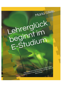

Lehrerglück<br>beginnt im<br>E-Studium

Eine qualitative Inhaltsanalyse studentischer Reflexionen in konfrontativen und interaktiven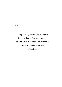Maria Stiels

Lehrerglück beginnt im (E)- Studium?!-Eine qualitative Inhaltsanalyse studentischer Workshop-Reflexionen in konfrontativen und interaktiven Workshops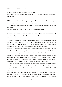"Glück" – mein Hauptfach im Lehrerstudium

Bedeutet "Glück" viel Geld, Gesundheit, Freundschaft?

Und weiter gefragt, was bedeutet dann "Lehrerglück": Lernwillige Schüler/innen, "lange Ferien", gutes Gehalt?

Ich bin mir sicher, dass sich diese Fragen nicht pauschal beantworten lassen. Letztlich wird jeder sein "Glücks-Erleben" selbst definieren bzw. finden müssen.

Wie meine Studie verdeutlicht, lassen sich bereits im Studium die Tore fürs Berufs-"Glück" öffnen. Und wie?

Die Antwort dazu fand ich im letzten Teil meines Lehramtsstudiums in Köln.

# Mein wichtigstes Studien-Ergebnis gebe ich vorweg bekannt: Kommunizieren erwies sich als das "A und O", um eine glückliche Lehrperson zu werden!

Die Bedeutsamkeit des Kommunizierens erlebte ich in den "Konfrontativen und Interaktiven Workshops" von Prof. Karl- J. Kluge. Wir Studierende wurden ermutigt und angeleitet, über unsere inneren Einstellungen und Haltungen unter anderem hinsichtlich unseres zukünftigen Berufslebens und über alle Stolpersteine und Hürden, die wir bereits in unserer Gruppe vorfanden, nachzudenken und Lösungsmöglichkeiten zu entwickeln und dieselben anzuwenden.

Fragen wie: Wie verhalte ich mich nach einer Beleidigung durch einen Schüler oder eine Schülerin? Fühle ich mich emotional aufgewühlt und gehe dadurch voreingenommen in die nächste Konfrontation mit dem besagten "Störenfried"? Oder gelingt es mir an Ort und Stelle, aus einer "Metaperspektive" die eskalierte bzw. reaktive Situation zu betrachten und sehe dadurch u.a. auch persönliche Gegebenheiten für die Reaktion des Schülers bzw. der Schülerin? Ist sie/er unzufrieden, gelangweilt, über- oder unterfordert? Gibt es Probleme zu Hause, mit Mitschüler/innen oder Lehrer/innen? Ist der/die Schüler/in besorgt, verängstigt, unsicher oder verärgert?

Weiß ich – die Lehrende- wieso ich so reagiere und nicht anders? Was lernte ich, um mit Störungen gewaltfrei umzugehen? Brodelt eventuell in mir selbst ein gewisses Maß an Unzufriedenheit, Angst oder Unsicherheit, die mir die achtsame Kommunikation mit meinen Schüler/innen, Kolleg/innen und Eltern erschwert?

Fragen über Fragen.... Und dann noch etwas: Antworten musste jeder individuell finden! Deshalb erachte ich es als bedeutsam, mir gerade über Beziehungsaspekte schon im Studium Gedanken zu machen, meinem "Glück" im Beruf entgegenzugehen, "offen" zu werden und Glück als solches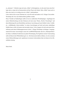zu "erkennen". Vielleicht zeigt sich mein "Glück" in Kleinigkeiten, wie die nette Geste einer Kollegin oder es zeigt sich im Sonnenschein auf dem Weg in die Schule. Mein "Glück" kann noch so klein sein, doch es ist wichtig etwas als "Glück" wahrzunehmen.

Und so lade ich Sie in jene Werkstatt ein, in der für mich und andere in K.J. Kluges Universitäts-Workshops die Tore zum Glückserleben geöffnet wurden.

Diese Vielzahl an Studienfragen stellte ich mir an zahlreichen Workshoptagen. Angefangen hat meine Glücksforschung mit dem Einlassen auf mein neues Thema "Positive Psychologie" und deren Bedeutung für mein Berufsleben und dessen Auswirkung auf mein Schüler-Lehrer-Verhältnis. "Aufblühendes Lehrerverhalten" in seinen Auswirkungen auf mich und meine zukünftigen Schüler/innen wollte ich kennen und anwenden lernen. Und so begann ich mich und meine Kommilitonen nach deren Erfahrungsprozessen in Karl- J. Kluges Workshops zu befragen. Ausgangsmaterial für meine Auswertungen waren die LernPROZESSjournale oder die "Glücksportfolios" (im Sinne von Barbara Fredrickson) an jedem Workshoptag. Die Ergebnisse meiner Untersuchung stelle ich Ihnen & der Öffentlichkeit gern vor. Alle Interessierte dürfen erfahren, wie ich zu meinen ersten Glückserfahrungen und -ergebnissen in meinem Lehrerstudium fand, mit denen ich ins Berufsleben einstieg.

Maria Stiels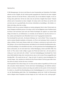#### **Opening Story**

8:30h Montagmorgen. Ich sitze in der Klasse 6a einer Gesamtschule am Niederrhein. Die Schüler arbeiten an einer Aufgabe, die die Lehrerin gerade ausgegeben hat. Damit Kai mit seiner Aufgabe beginnt, motiviere ich mit den Worten: "Schau mal Kai, das ist eine ähnliche Aufgabe, wie du sie Freitag schon gelöst hast. Ich bin mir sicher, dass du auch diese Aufgabe lösen kannst." Danach arbeitet auch er konzentriert an dieser Aufgabe. Ich schaue mich in der Klasse um und bin stolz auf mich, dass ich es geschafft habe, Kai mit dem Arbeitsblatt zu beschäftigen. Alle Schüler verhalten sich ruhig, schon fast zu ruhig...

Plötzlich werde ich aus meinem Gedanken an meinen gelungenen Start in diese Woche durch ein lautes Scheppern und Rufen gerissen. Ich schaue zu Kai, der das Mäppchen seines Nachbarn durch die Klasse wirft und diesen auch noch aufs Übelste beschimpft, ihn zugleich von seinem Stuhl drängt. Ich stürme los, um Schlimmeres zu vermeiden, da mir bekannt ist, dass Kai nicht nur verbal, sondern auch körperlich seine Mitschüler bereits in der Vergangenheit attackiert hat.

Nun beschimpft Kai auch mich: "Du dumme Schlampe, lass' mich in Ruhe!" Diese Aussage lässt mich in meinem Handeln innehalten, ich bemerke, wie Wut in mir hochsteigt. Sofort versuche ich ruhig zu bleiben. Doch meine Stimme erhebt sich, ich fange zu schwitzen an und werde nervös. Mir gelingt es, Kai aus dem Klassenzimmer und dadurch aus der aktuellen Konfliktsituation physisch herauszudrängen. Ich entschließe mich dazu, mit ihm gemeinsam den Sonderpädagogen der Klasse aufzusuchen, da ich mich durch Kais verbale Beleidigung verletzt und hilflos fühle. Kai kocht vor Wut, immer wieder schlägt er gegen eine Wand und schreit laut: "Ich raste gleich so richtig aus! Lasst mich doch alle in Ruhe!" Auch den Sonderpädagogen beschimpft Kai. Doch dieser bleibt äußerlich ruhig. Kein Anzeichen davon, dass er sich in seiner Person angegriffen oder beleidigt fühlt. "Wie macht der das nur?", frage ich mich. Er spricht in einem beruhigenden Ton mit dem Jungen. "Kai, möchtest du vielleicht ein Glas Wasser trinken? Du bist ja ganz außer Atem. Setz dich erst einmal, ich hole dir etwas zu trinken."

Ich bin sprachlos! Da ist dieser Junge, der von einem auf den anderen Augenblick auf 180 war und alles und jeden wütend attackierte. Und da steht dieser Sonderpädagoge, der äußerlich unbeeindruckt von diesem Auftreten erscheint und ruhig und sachlich mit Kai spricht. Ich bin fasziniert! Es scheint so, als pralle Kais Beschimpfung an dem Sonderpädagogen ab, so als ob er gar nichts von der Beschimpfung gehört hätte. Der Sonderpädagoge spricht den Vorfall im Klassenraum nicht zu Beginn seines Gespräches mit dem Jungen an, da er weiß, dass es Kai "nicht gut geht".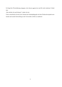Er bringt Kai Wertschätzung entgegen, trotz dessen aggressiven und für mich sinnlosen Verhaltens.

"Das möchte ich auch können!", denke ich mir.

Und so entscheide ich mich, das Lehramt der Sonderpädagogik mit dem Förderschwerpunkt emotionale und soziale Entwicklung an der Universität zu Köln zu studieren!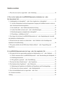#### **Inhaltsverzeichnis**

| I. Was vor der Analyse der LernPROZESSjournale zu bedenken war - oder:                  |  |
|-----------------------------------------------------------------------------------------|--|
|                                                                                         |  |
| 2. "Schülerglück ist Lehrerglück?" - oder: Erste Aspekte des "Lehrerglücks"  16         |  |
| 2.1 Auf das Wahrnehmen und den kompetenten Umgang mit Gefühlen kommt es stets an -      |  |
|                                                                                         |  |
|                                                                                         |  |
|                                                                                         |  |
|                                                                                         |  |
|                                                                                         |  |
| 3. Was fange ich mit diesen LernPROZESSjournalen an? - oder: Begründung der Auswahl     |  |
|                                                                                         |  |
| 4. Worauf ich bei der Analyse zu achten hatte – oder: Einblicke in die Grundlagen der   |  |
|                                                                                         |  |
| 5. Was genau möchte ich mit Hilfe dieser Studie erfahren? – oder: Fragestellung und     |  |
|                                                                                         |  |
| II. LernPROZESSjournale unter der Lupe - oder: Der empirische Teil  75                  |  |
| 6. Wie ging ich bei der angewandten qualitativen Inhaltsanalyse vor? – oder: Methode 75 |  |
| 6.1 Woher stammten diese LernPROZESSjournale? - oder: Beschreibung der Stichprobe. 75   |  |
|                                                                                         |  |
|                                                                                         |  |
|                                                                                         |  |
|                                                                                         |  |
| 8.1 Bedeutung der Ergebnisse im Hinblick auf Hypothesen und Forschungsfrage 85          |  |
|                                                                                         |  |
|                                                                                         |  |
|                                                                                         |  |
|                                                                                         |  |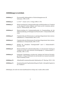# Abbildungsverzeichnis

| Abbildung 1:         | Prozessmodell selbstregulativer Zielerreichungsprozesse (R.<br>Schwarzer, 1998, S.165)                                                                                               |
|----------------------|--------------------------------------------------------------------------------------------------------------------------------------------------------------------------------------|
| <b>Abbildung 2:</b>  | L.i.N.D. $^{\circ\circ}$ - Ansatz von K.-J. Kluge (2006, S.130)                                                                                                                      |
| <b>Abbildung 3:</b>  | Musterverteilung bei Lehramtsstudierenden und Referendaren im Vergleich<br>zu den jüngeren Lehrern (Männer und Frauen jeweils zusammen genom-<br>men) (U. Schaarschmidt, 2005, S.69) |
| <b>Abbildung 4:</b>  | Musterverteilung bei Lehramtsstudierenden im Zusammenhang mit der<br>Selbsteinschätzung zur Richtigkeit der Berufswahl (U. Schaarschmidt 2005,<br>S.69                               |
| Abbildung 5:         | Charakteristika des Risikomusters A und darauf abgestimmte Interventions-<br>maßnahmen (U. Schaarschmidt, 2005, S.107)                                                               |
| Abbildung 6:         | Charakteristika des Risikomusters B und darauf abgestimmte Interventions-<br>maßnahmen (U.Schaarschmidt, 2005, S.107)                                                                |
| <b>Abbildung 7:</b>  | Module des "Potsdamer Trainingsmodell" nach U. Schaarschmidt/U.<br>Kieschke, 2007                                                                                                    |
| <b>Abbildung 8:</b>  | Musterverteilung bei Lehramtsstudierenden vor und nach dem Training im<br>Vergleich mit der nicht trainierten Kontrollgruppe (U. Schaarschmidt/ U.<br>Kieschke, 2007, S.143)         |
| <b>Abbildung 9:</b>  | kongeniale Verbindungen zwischen den Ansätzen der Positiven Psycholo-<br>gie und K.-J. Kluges konfrontativem und interaktivem, humanwissenschaft-<br>lichen Workshop-Ansatz          |
| Abbildung 10:        | Ablaufmodell zusammenfassender Inhaltsanalyse (P. Mayring, 2010, S. 68)                                                                                                              |
| <b>Abbildung 11:</b> | Zusammenfassende Ergebnisdarstellung der Studie: Lehrerglück beginnt im<br>(E)- Studium?!                                                                                            |

Abbildungen, die nicht mit einem Quellennachweis belegt sind, wurden selbst erstellt.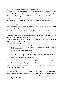#### 1. Was ich zuvor noch zu sagen habe - oder: Einleitung

In dieser kurz gefassten Einführung lade ich Sie ein, mitzuerleben und zu erkennen, was ich in Karl- J. Kluges Workshops erlebte und erlernte, denn ein Unbeteiligter wird sich kaum vorstellen können, was sich wie ereignete und zugleich Lernen initiierte. Es handelte sich um Lernen in der Gruppe durch Erfahrungen machen, sich zugleich an "Ort und Stelle" zu reflektieren und um auch "an Ort und Stelle", sprich in einem Uni-Seminar/Workshop, Konsequenzen zu ziehen.

Zunächst zur Person des Workshopsleiters:

Univ. Prof. Dr. Karl-Josef Kluge war von 1968 bis 1998 Lehrstuhlinhaber und Direktor des Seminars für Erziehungsschwierigenpädagogik der Universität zu Köln. Nach seiner Emeritierung (= Entpflichtung) im Jahre 1998 bot derselbe weiterhin Workshops im Schwerpunkt, Emotionale und soziale Förderung" an. Aus diesen Workshops, die von ihm konfrontativ und interaktiv angelegt waren, stammen die Selbstreflexionen der Teilnehmer/innen, die in der vorliegenden Studie vor den Augen der Öffentlichkeit vorgestellt, erklärt und evaluiert werden.

"Was sind "konfrontative und interaktive Workshops" und welche Theorien fließen in die Gestaltung ein?", dürfen Sie mich fragen.

Auf diese Frage geht die Autorin im Folgenden gerne ein:

Dem Leitsatz- ohne Verwirrung findet kein Lernen statt- konnte ich [...] viel Substanz anbringen und verstand die Anfangsphase des Seminars im Nachhinein als bewusst erzeugte Praxiserfahrung. (Auszug aus LernPROZESSjournal 18, S.3)

Die Art von Seminar war etwas Neues für mich, da ich diese Struktur noch nie zuvor an der Universität erlebt habe. Ich musste lernen, mich für diese neue Struktur zu öffnen, diese kennen zu lernen und erleben zu wollen sowie den Mut zu haben etwas Neues auszuprobieren. (Auszug aus LernPROZESSjournal 21, S.5)

Diese zwei Auszüge aus den mir vorliegenden LernPROZESSjournalen verdeutlichen die eher ungewohnte Art K.-J. Kluges Workshopgestaltung. Studierende berichteten von einer Struktur, die sie in anderen universitären Angeboten noch nicht erlebt hatten und von Verwirrung, die ihnen "trotz allem" zum Lernen verhalf.

Das Wort "konfrontativ" stammt von "Konfrontation" ab: Jemanden mit etwas "konfrontieren" meint zum einen, "jmdn. jmdm. anderen gegenüberstellen, bes. um etwas aufzuklären" und zum anderen "jmdn. in eine Situation bringen, die ihn zur Auseinandersetzung mit etwas Unangenehmen zwingt" (Duden, 2007)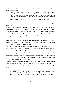Diese Worterklärung fand ich wortwörtlich auch in den Selbstreflexionen der mir vorliegenden LernPROZESSjournale.

Während der Diskussion bemerkte ich, dass es mich erleichterte, zu sehen, dass auch andere durch Herrn Kluges konfrontative Art ins Schwitzen gerieten, da ich durch sie beobachten konnte, dass sie die Konfrontation nicht bedrohte, sondern ein Raum geboten wurde, Aussagen zu überprüfen, Ausdrucksweisen zu verbessern, um mehr Klarheit zu entwickeln. Es ist interessant, wie ungewohnt es für mich ist auf Herrn Kluges Art und Weise konfrontiert zu werden[...]. (Auszug aus LernPROZESSjournal 13, S.7)

Das Wort "interaktiv" impliziert die Bereitschaft und das Ermöglichen zu einer Interaktion. (vgl. Duden, 2007)

In den besagten Workshops wurde beispielsweise über eingebrachte Zitate, wie "Der längste Weg beginnt mit dem ersten Schritt" (Karl-J. Kluge) oder "Unterschiedlichkeit ist die Norm" (Karl-J. Kluge) diskutiert und über persönliche Wertvorstellungen, wie z.B. Authentizität im Lehrerberuf gesprochen. Durch Rollenspiele oder eingebrachte Erlebnisse aus der Praxis wurden Situationen durchgespielt bzw. durchgesprochen und gemeinsam mit der Gruppe und dem Leitenden wurde nach Lösungsvorschlägen gesucht.

Die Definition von "Workshop", die sich auf einen "Kurs, Seminar o.Ä., in dem in freier Diskussion bestimmte Themen erarbeitet u. praktische Übungen durchgeführt werden" (Duden, 2007) bezieht, gehören mit zum Setting von Kluges Angeboten.

Nach Karl-J. Kluge handelte es sich in den konfrontativen und interaktiven Workshops um Lern-/Studienangebote, in denen sich die Studierenden und der Leitende aktiv mit etwas, jemandem oder sich selbst "vor Ort" und auch noch danach auseinandersetzten. Begleitet wurde die fachliche Diskussion mit Übungen oder Erlebnissen vor Ort in Gegenwart anderer. Karl-J. Kluge strebte das Implementieren von Handlungs- und Beziehungsfähigkeit der zukünftigen Sonderpädagogen an. (vgl. K. Fitting, 1996, S.594) Im Anschluss an diese Workshops erstellten dieselben Studierenden außerhalb der Workshops LernPROZESSjournale.

Unter einem LernPROZESSjournal wird ein Instrument zur Reflexion verstanden, mit dem die Lernenden über ihre Handlungen und Denkweisen und die der anderen nachdenken. (vgl. A. Zeder, 2006, S.35) Als Beispiel für diese Sichtweise diente der folgende Auszug eines LernPRO-ZESSjournals.

Besonders angeregt haben mich im Seminar die LernPROZESSjournale meiner Kommilitoninnen und Kommilitonen. In erster Linie fand ich meine eigenen Gedanken, Ängste, Wünsche und Zweifel oft in den Vorträgen der Anderen wieder und fühlte mich dadurch sicherer und mit meinen Emotionen nicht alleine. (Auszug aus LernPROZESSjournal 2,  $S.7f.$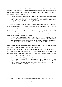In den Workshops von Karl- J. Kluge wurde der PROZESS des Lernens betont, um zu verdeutlichen, dass Lernen auch immer wieder Anstrengungen erwartet. Daher wurde dieses Wort in Großbuchstaben gesetzt, um sichtbar zu machen, dass Lernen in der Regel in Qualitätsprozessen angelegt ist und auf Gelerntem aufbauen will.

Um ihre eigene Person intensiver nach allen Seiten hin kennenzulernen, müssen sie selbstexplorative Reflektionen in ihrer Dokumentationsmappe führen. Zur eigenen Klärung ihrer Persönlichkeit reflektieren sie die verschiedenen Erfahrungen in unserer Gruppe und mit mir [Karl- J. Kluge]. (E.-M. Saßenrath-Döpfke, 1996, S.602)

Während ich bisher meinen Fokus der Betrachtung auf die konfrontativen und interaktiven Workshops gelegt habe, richte ich nun meine Ausführungen mehr auf die Person Karl-J. Kluge, um seine "Lernwerkstatt" anderer Art zu verstehen.

Karl- J. Kluge gilt als Vertreter der Humanistischen Psychologie. (vgl. A. Krenz, 1996, S.630) Sein Trainingsschwerpunkt bezieht sich auf das Erleben des Menschen. K.-J. Kluges Bekenntnis lautet: Lernen erfolgt in Beziehung. (K.-J. Kluge)

Im Zentrum der Aufmerksamkeit steht die erlebende Person. Damit rückt das Erleben als primäres Phänomen beim Studium des Menschen in den Mittelpunkt. [...] Der Akzent liegt auf spezifisch menschlichen Eigenschaften, wie der Fähigkeit zu wählen, der Kreativität, Wertsetzung und Selbstverwirklichung [...]. (C. Bühler/M. Allen, 1973, S.7)

Diese Aussagen stammen von Charlotte Bühler und Melanie Allen (1973), die exzellent wiedergeben, was die Grundsätze von K.-J. Kluges Workshops ausmachen.

Und so stehen für Karl- J. Kluge der studierende Mensch, die Gruppe und das Thema stets im Mittelpunkt. In seinen Studienangeboten verfolgt derselbe eine begabens- und ressourcenorientierte sowie "personenzentrierte" (im Sinne von C. Rogers<sup>1</sup>) Vorgehensweise, was die Studierenden auch in ihren LernPROZESSjournalen direkt zum Ausdruck brachten:

Den Ansatz von Herrn Kluge, der nach der personenzentrierten Konfrontation arbeitet, kann ich rückblickend als sehr erfolgreich im Bezug zu meiner Person beurteilen. Ich habe erfahren können, wo sich bei meiner Person noch "Schwachstellen" oder emotionale Defizite befinden, und wo ich denke, dass ich in meiner Tätigkeit als Lehrer gut gerüstet bin. (Auszug aus LernPROZESSjournal 24, S.14)

<sup>&</sup>lt;sup>1</sup> Rogers, Carl. R. (1984): Freiheit und Engagement. Personenzentriertes Lehren und Lernen. München: Kösel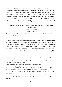Des Weiteren legt dieser Vertreter der Humanistischen Sonderpädagogik Wert auf das Anwenden von Ergebnissen aus der Kommunikationstheorie nach Friedemann Schulz von Thun<sup>2</sup>, Paul Watzlawick<sup>3</sup>, der Pfadfinderpädagogik Robert Baden-Powells<sup>4</sup> sowie auf die "Pädagogische Führungslehre" nach Peter Petersen<sup>5</sup>. Außerdem finden Grundsätze, Axiome und Methoden der "Themenzentrierten Interaktion" (TZI) nach Ruth Cohn und Barbara Langmaack<sup>6</sup> sowie des "Interaktionellen Lernens" nach Klaus W. Vopel<sup>7</sup> durchgehend Anwendung. (vgl. Kluge, 1989, S.5) Beispielsweise verdeutlichen die folgenden Zitate K.-J. Kluges Arbeitsweise in seinen konfrontativen und interaktiven Workshops an der Universität zu Köln:

"Meine Gefühle sollen keine Macht über dich gewinnen und deine Gefühle keine Macht über mich gewinnen."

"Gib Raum was im Raum ist."

"Person vor Methode."

(C. Rogers zitiert von K.-J. Kluge im Workshops: Inklusion: Lernen unter Ungleichen im Wintersemester  $2013/2014$ 

Ferner machte K.-J. Kluge sich in den USA mit der "Positiven Psychologie"<sup>8</sup> der Autoren Martin Seligman und Barbara Fredrickson vertraut. Deren Veröffentlichungen brachte dieser in seine Universitätsarbeit in Köln ein. K.-J. Kluge legt beispielsweise Wert auf die Achtsamkeit und das Erkennen von Fähigkeiten und Ressourcen einer Person. Deren Ansätze lebte Karl- J. Kluge den Studierenden vor, indem er z.B. gezielt auf deren Fähigkeiten achtete und nachfragte, welche Fähigkeiten jeder zukünftig in die Schulen einbringen mochte. Karl-J. Kluge nimmt in der Regel das

<sup>&</sup>lt;sup>2</sup> Schulz von Thun, Friedemann (2007): Miteinander Reden. Störungen und Klärungen. Band 1 (45. Auflage), Reinbek bei Hamburg: Rowohlt Taschenbuch Verlag

<sup>&</sup>lt;sup>3</sup> Watzlawick, Paul/ Bavelas, Janet B./ Jackson, Don D. (2011): Menschliche Kommunikation- Formen, Störungen, Paradoxien. 12., unveränd. Aufl., Bern: Huber

<sup>&</sup>lt;sup>4</sup> Baden-Powell, Robert (2004): Scouting for boys. Oxford: Oxford University Press

<sup>&</sup>lt;sup>5</sup> Petersen, Peter (1984): Führungslehre des Unterrichts. (Neuausg. nach d. 10. Aufl. 1971), Weinheim/Basel: Beltz

 $6$  Langmaack, Barbara (2011): Einführung in die Themenzentrierte Interaktion. Das Leiten von Lehr- und Arbeitsgruppen erklärt und praktisch angewandt. (5. vollständig überarbeitete Auflage), Weinheim/Basel: Beltz

<sup>7</sup> Vopel, Klaus W. (1994): Themenzentriertes Team-Training: Interaktion im Team- wie wird die Gruppe zum Team?. Hamburg: Isko-Pr.

<sup>&</sup>lt;sup>8</sup> Fredrickson, Barbara (2011): Die Macht der guten Gefühle. Frankfurt am Main: Campus Verlag

Sowie Seligman, Martin E.P. (2006): Learned Optimism. How to Change Your Mind and Your Life. New York: Vintage Books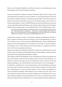Positive in der Workshop-Wirklichkeit in den Blick und fordert von den Studierenden ein, diese Überzeugungen auch in seinen Workshops zu erproben.

Durch meine persönliche Teilnahme an mehreren Workshops, erlebte ich Karl-J. Kluges Leiten und Kommunizieren persönlich an mir und an anderen. In einer Sitzung begeisterte mich dieser für das Buch von Barbara Fredrickson "Die Macht der guten Gefühle". Dieses Buch weckte mein Interesse an der Positiven Psychologie, sodass ich eine Workshop-Sitzung zu diesem Thema vorbereitete und durchführte. Laut der LernPROZESSjournale meiner Kommilitonen/innen hatten die von mir ausgewählten Inhalte und Übungen aus B. Fredricksons Buch Wirkung auf die Workshopteilnehmer/innen ausgeübt, indem sie zum Nachdenken über z.B. ihre Gefühle angeregt wurden.

Zum Punkt der Gefühle bleibt mir nachhaltig auch die von der Kommilitonin Maria gestaltete Unterrichtsstunde im Gedächtnis. [...] Mit relativ wenig Instruktion durch Maria gelang es ihr die Kommilitonen und Kommilitoninnen in die aktive Reflexion der eigenen Gefühlswelt zu bringen. (Auszug aus LernPROZESSjournal 18, S.7)

Aufgrund dieses, durchaus als positiv zu bewertendes, Feedbacks der Studierenden band Karl- J. Kluge verstärkt B. Fredricksons Positive Psychologie in seine Workshopgestaltung ein, indem er nun im Wechsel zu den von ihm erwarteten LernPROZESSjournalen "Positive Gefühlsjournale" anlegen ließ. Dieser Methodenansatz von B. Fredrickson, die sie selbst als "Positive Portfolios" (B. Fredrickson, 2011, S.254f.) betitelt, zielt auf das Herausfinden von "Quellen des Positiven" (ebd., S.255) in den Tagesabläufen der Personen.

Insgesamt ein Angebot, das zukünftigen (Förderschul-) Lehrpersonen verhelfen könnte, die "wohltuenden" positiven Situationen/Aktivitäten/Beziehungen im Alltag sichtbar zu machen und daraus (neue) Kraft für den anstrengenden Schulalltag zu schöpfen.

Mir persönlich verhalf die Beschäftigung mit dem Themengebiet der Positiven Psychologie auch dazu, meine bisherige Lebensweise (mit besonderem Bezug auf mein E-Lehrer-Studium) zu reflektieren. So kamen in mir Fragen auf, die sich beispielsweise mit der investierten Zeit für mein Studium beschäftigten: "Wie viel Zeit bleibt mir noch für Freizeit bzw. für "Privatvergnügen"?"

B. Fredrickson verdeutlichte mir vom ersten Kennenlernen an die hohe Bedeutung, sich bewusst Zeit für sich selbst zu nehmen und achtsam mit sich und anderen umzugehen. Für mich bedeutete diese "Selbsterkenntnis" zu lernen, auf meinen Körper zu "hören" und bewusst Ruhephasen in meinen Tagesablauf einzubinden. Daher praktiziere ich seit Anfang 2014 Yoga- Sport. Ich bemerkte schon nach einigen Wochen, dass mir diese Tätigkeit gut tat. Ich fühlte mich z.B. in stressigen Situationen entspannter und konnte beispielsweise das Chaos in der Küche nach der Zubereitung einer Mahlzeit bewusst zurücklassen bzw. aus meinen aktuellen Gedanken ausblenden, um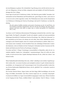mir eine Ruhepause zu gönnen. Die wöchentliche Yoga-Sitzung erwies sich für mich als eine Auszeit vom Alltagsstress, ich kam zur Ruhe, entspannte mich und schöpfte z.B. Kraft für Herausforderungen des (Uni-) Alltags.

Ferner legte ich nach der B. Fredricksons Lektüre "Die Macht der guten Gefühle" besondere Aufmerksamkeit auf das Wahrnehmen und Wertschätzen der "guten Dinge im Leben", auch wenn sie von mir als noch so klein angesehen werden. Das Wahrnehmen des Guten und die Interpretation von Erlebnissen in Richtung der Positiven Psychologie sind nach B. Fredrickson von hoher Bedeutung.

Wie alle anderen Gefühle entstehen auch positive Emotionen aus der Art und Weise, wie Sie Ereignisse und Ideen interpretieren, dass Sie sich die Zeit nehmen, das Gute wahrzunehmen, und bereit sind, dafür zu sorgen, dass es wächst und gedeiht. (B. Fredrickson, 2011, S.70)

Aus diesen von B. Fredrickson übernommenen Überlegungen entstand die Idee zu der hier vorgelegten Studie. Der Begriff "Lehrerglück" bezieht sich subjektiv zunächst auf meine persönlichen Erfahrungen hinsichtlich B. Fredricksons Positiven Psychologie. Das "Glück des Lehrerseins" erlebt vermutlicht nur die Person, die achtsam mit sich selbst, ihren Zielen. Bedürfnissen und Erwartungen an die Zukunft umgeht, meine ich vermuten und formulieren zu dürfen. Daher ist es nach meinen ersten Annahmen- für die berufliche Praxis des zukünftigen (Förderschul-) Lehrenden bedeutsam, schon im Studium mit dem Training der Achtsamkeit und des Umsetzens der Methoden und Denkweisen der Positiven Psychologie zu beginnen.

Um meine und Karl- J. Kluges Vermutungen wissenschaftlich zu überprüfen, nahm ich mir vor, zunächst mögliche Aspekte des "Lehrerglücks" zusammenzutragen. Denn ich wollte mir sicher werden, ob und inwieweit diese Aspekte überhaupt bedeutsam für das "Glück des Lehrers" sein können/werden.

Meine Studienthematik beabsichtigt nicht, dass "Glück" zukünftig in universitären Angeboten gelehrt werden sollte- was meines Erachtens auch unmöglich erscheint. Es geht vielmehr darum herauszufinden, wie Arrangements und Voraussetzungen in der Universität geschaffen werden können, die den Studierenden Möglichkeiten bieten, sich als "glücklich" bzw. erwünschte (=positive) Gefühle zu erleben.

Die Forscher Dietrich Dörner, Jürgen Gerdes und Julia Hagg (2008) beschäftigten sich mit der Frage, ob Gefühle "berechenbar" sind. Diese Autoren zeigten auf, wie "vorsichtig" und perspektivenreich mit Gefühlen wie Angst wissenschaftlich umgegangen werden muss. Meines Erachtens ist der Umgang mit dem Thema "Gefühls-Erleben" nicht einfacher. Nach D. Dörner, J. Gerdes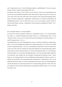und J. Hagg braucht "man" "für die Erklärung komplexer "gefühlshaltiger" Prozesse eine ganzheitliche Theorie" (Dörner/Gerdes/Hagg, 2008, S.44).

Ich arbeitete mich intensiv in die Literatur ein und "pirschte" mich an eine Fragestellung heran, die ich auch wissenschaftlich überprüfen wollte. Denn letztlich wagte ich mich an ein Thema, das ich in dieser Form noch nicht erlebt hatte und das dennoch seine logische Berechtigung hat(te). Denn wie können Lehrpersonen "unglückliche" Schüler/innen zu vermehrter Zufriedenheit und Wohlbefinden anleiten, wenn sie selbst nicht wissen, wie es um ihr eigenes "Glück" bestellt ist. Mir kam dabei Kluges Aussage: "Unglückliche Lehrer hinterlassen unglückliche Schüler." (K.-J. Kluge) in den Sinn.

Die vorliegende Studie ist wie folgt aufgebaut:

Im Theorie-Teil stelle ich mögliche Aspekte des "Lehrerglücks" (Kap. 2) wie "Emotionsregulation" (Kap. 2.1), "Selbstwirksamkeitserwartungen" (Kap. 2.2), "Lehrerbelastung" (Kap. 2.3) und "Resilienz" (Kap. 2.4) sowie zwei Vertreter der Positiven Psychologie, B. Fredrickson (Kap. 2.5.1) und M. Seligman (Kap. 2.5.2), vor.

Anschließend gehe ich auf die Begründung für meine Auswahl der Qualitativen Inhaltsanalyse (Kap. 3) sowie auf Grundlagen der Qualitativen Sozialforschung (Kap. 4) ein. Dieser Teil schließt mit einer Fragestellung (Kap. 5) ab, die im anschließenden empirischen Teil dieser Studie beantwortet wird. Dazu stelle ich zunächst die angewandte Methode der zusammenfassenden Inhaltsanalyse (Kap. 6) nach P. Mayring (2010) vor, in dem ich die Stichprobe (Kap. 6.1), die Erhebungsinstrumente (Kap. 6.2) als auch die Durchführung (Kap. 6.3) der zusammenfassenden Inhaltsanalyse beschreibe. Dem schließt sich eine deskriptive Darstellung der Ergebnisse (Kap. 7) dieser Studie an. (Im Anhang befinden sich die ausführlichen Studienergebnisse inklusive meiner Vorgehensweise hinsichtlich der zusammenfassenden Inhaltsanalyse in tabellarischer Form.) In der folgenden Diskussion (Kap. 8) wird die Fragestellung beantwortet, indem die Studienergebnisse mit den Erkenntnissen aus dem theoretischen Teil in Zusammenhang gebracht werden. Diese Studie schließt mit einer kritischen Betrachtung der ausgewählten Methode (Kap. 8.2) sowie einem Fazit (Kap. 9) ab.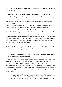# I. Was vor der Analyse der LernPROZESSjournale zu bedenken war - oder: Der theoretische Teil

## 2. "Schülerglück ist Lehrerglück?" - oder: Erste Aspekte des "Lehrerglücks"

In einer Unterhaltung mit zwei bereits pensionierten Lehrer/innen erhielt ich auf meine Frage "Was ist für dich Lehrerglück?" verschiedene Antworten.

Eine befragte Person berichtete, dass zum "Lehrerglück" ruhige Schüler/innen zählen, die im Unterricht gut mitarbeiten.

Der zweite Befragte antwortete, dass er an Wochenenden und in Ferien "Lehrerglück" empfände. Diese Antworten wiesen mich darauf hin, dass "Lehrerglück" individuell erlebt wird.

Und was verstehe ich selbst, die Autorin, als "Lehrerglück"?

"Lehrerglück- Erleben" ergibt sich meinem Verständnis nach aus verschiedenen Aspekten oder Perspektiven. Zum einen gehe ich davon aus, dass äußerliche organisatorische Faktoren, wie z.B. die Atmosphäre im Kollegium und das Verhalten der Schüler/innen zum Lehrerglück beitragen. Zum anderen vermute ich, dass auch die persönliche Haltung und Einstellung gegenüber dem Lehrerberuf sowie individuelle Potentiale und Ressourcen, im Sinne von Quellen zum "Kraft tanken", im "Lehrer-Glücks-Erleben" bedeutsam werden.

Da die Begrifflichkeit "Lehrerglück" als solcher in der Literatur noch nicht definiert wurde, stelle ich im Folgenden mögliche Aspekte des "Lehrerglück- Erlebens" vor bzw. zusammen.

## 2.1 Auf das Wahrnehmen und den kompetenten Umgang mit Gefühlen kommt es stets an - oder: Emotionen/Emotionsregulation

Freude, Wohlbefinden und Lust dürfen nach Thomas Hülshoff dem "Glückserleben" zugeordnet werden. Glück wird von dem mittelhochdeutschem Wort "Geluck" abgeleitet (vgl. T. Hülshoff, 2006, S.105) und hieß zur damaligen Zeit Schicksal(smacht) oder Zufall (vgl. Duden, 2013). Als der Vertreter der Glücksforschung gilt der (emeritierte) Professor für Psychologie Mihaly Csikszentmihalyi. Dieser trug unter der Begriffswahl "flow" zur psychologischen Glücksforschung in den USA wesentlich und einzigartig bei. In seinem Buch "Flow- Das Geheimnis des

Glücks" schrieb er hinsichtlich des Glückserlebens:

Was ich "entdeckte", war, daß [!] Glück nicht etwas ist, das einfach geschieht. Es ist keine Folge von angenehmen Zufällen. Es ist nichts, was man mit Geld kaufen oder mit Macht bestimmen kann. Es hängt nicht von äußeren Ereignissen ab, sondern eher davon, wie wir diese deuten- Glück ist vielmehr ein Zustand, für den man bereit sein muß [!], den jeder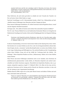einzelne kultivieren und für sich verteidigen muß [!]. Menschen, die lernen, ihre inneren Erfahrungen zu steuern, können ihre Lebensqualität bestimmen; dies kommt dem, was wir Glück nennen, wohl am allernächsten. (M. Csikszentmihalyi, 2014, S.14)

Diese Sichtweise, die auch meine geworden ist, erlaubte mir erste Versuche des Transfers von flow auf meine Lehrer-Glück-Studie zu wagen.

Nach den Vorstellungen von M. Csikszentmihalyi beruhte "Glück" bzw. Glückserleben auf individuellen inneren Erfahrungen eines Menschen und dem Umgang mit diesen.

Diese inneren Erfahrungen beinhalteten z.B. erlebte Emotionen und die Regulation dieser, worauf sich der folgende Abschnitt konzentriert.

Ich fragte mich: "Was zählt als Emotion und welchen Sinn unterstellen Experten Gefühlen?"

Prof. Dr. med. Thomas Hülshoff, der an der Katholischen Hochschule Münster im Fachgebiet der Medizinische Grundlagen der Sozialen Arbeit und der Heilpädagogik lehrt, bot folgende Erklärung  $an:$ 

Emotionen sind körperlich-seelische Reaktionen, durch die ein Umwelter-eignis aufgenommen, verarbeitet, klassifiziert und interpretiert wird, wobei eine Bewertung stattfindet. (T. Hülshoff, 2006, S. 14)

In diesem Zusammenhang verweist die Autorin dieser Studie auf die Opening Story dieser Arbeit. Dort berichte ich von einem Erlebnis aus der Zeit, in der ich als Integrationshelferin arbeitet habe. Jenes Ereignis, das des "Ausrastens" und das Beschimpftwerden von seitens eines Schülers, lösten in mir Angst, Enttäuschung und Hilflosigkeit aus. Die seelische Reaktion auf die Verunglimpfung seitens dieses Schülers, bezog sich auf das Gefühl der Verletzung durch das Gehörte: "Du Schlampe". Meine körperliche Reaktion auf diese "Deklassierung" äußerte sich in dem Erheben meiner Stimme.

Mein Wissen und meine Erfahrungen stimulierten mich zu der Annahme, dass Emotionen als mehrdimensional gekennzeichnet werden dürfen, da Menschen körperlich und seelisch unterschiedlich auf erlebte Emotionen reagieren. Hinsichtlich der körperlichen Reaktion, dem so genannten "körperlich-vegetativen Aspekt" (T. Hülshoff, 2006, S.14), führe ich fort, dass sich beispielsweise Emotionen auf die Atmung und die Motorik des Menschen auswirken, in dem sich z.B. die Amtung in einer Angstsituation beschleunigt.

Matthias Burisch (2006) zeigte mir an, dass jeder Mensch inneres und äußeres Erleben und auch Stress individuell erlebt und bewertet.

Nicht nur reagieren Menschen mit unterschiedlichen physiologischen Reaktionsmustern auf Stressoren, ein und dieselbe "objektive" Situation löst auch beim einen sehr starke, beim anderen gar keine Reaktionen aus. (M. Burisch, 2006, S.85)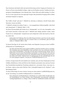Dass Emotionen individuell erlebt und auch die Bewertung und der Umgang mit Emotionen von Person zu Person unterschiedlich erfolgen, zeigte mir die Reaktion und das Verhalten des hinzugezogenen Sonderpädagogen in der Opening Story. Dieser blieb nach außen beruhigt. Es schien, als sei er in der Lage gewesen, das angezeigte Ereignis ohne persönliche Erregung erlebt zu haben und darauf entspannt zu reagieren.

Das Gefühl "Freude" gilt nach T. Hülshoff als schwierig zu definieren, obwohl Freude jedem Menschen vertraut sein dürfte.

T. Hülshoff verbindet mit erlebter Freude "[...] ein ausgeglichenes Selbstwertgefühl, vitale Kraft und Lebensfreude" (T. Hülshoff, 2006, S. 105).

Für diesen Wissenschaftler gilt Freude als ein "Nebenprodukt" von z.B. einer Atmosphäre, in der sich Freude entwickelt. Freude kann nach T. Hülshoff nicht ständig stimuliert werden, sodass Freude als ein "Nebenprodukt", beispielsweise nach erfolgreicher Arbeit oder kreativen Aktivitäten, erlebt wird:

Insbesondere die Erfahrung, über sich selbst hinauszuwachsen, neue Facet-ten der eigenen Persönlichkeit zu entdecken und sich in diesem Sinne zu verwirklichen, geht mit Freude einher. (T. Hülshoff, 2006, S. 106)

Zu diesem Zitat füge ich, die Autorin dieser Studie, noch folgenden Auszug aus einem LernPRO-ZESSjournal zur Verdeutlichung ein:

Ich sollte mich darin üben meine eigenen Gefühle zu erkennen und diese auch zu verstehen. Dies beinhaltet auch meine Bedürfnisse Ziele und Motive also eine realistische Einschätzung meiner Persönlichkeit. Auch habe ich nach dieser Seminarsitzung erkannt, dass es Spaß macht sich mit meiner Persönlichkeit auseinander zu setzen und diese teils auch neu zu entdecken. Denn durch die Praxis der Achtsamkeit meiner Emotionen gewinne ich innere Ruhe und Freiheit. Dadurch kann ich angemessener mit den Anforderungen die mir im Leben begegnen umgehen. (Auszug aus LernPROZESSjournal 28, S.2)

In dieser Aussage kommt für mich deutlich zum Ausdruck, dass sich diese Studierende mit ihren Gefühlen, Bedürfnissen, Zielen und Motiven ihres Handelns auseinander setzte und neue Facetten ihrer Persönlichkeit innerhalb des Workshops entdeckte bzw. entwickelte. Dieses- eines unter vielen Zitaten- zeigte an, dass meine Wahl des Titels "Lehrerglück beginnt im (E)- Studium?!" seine Berechtigung fordert.

An dieser Stelle bringe ich einen weiteren Auszug aus einem anderen LernPROZESSjournal ein, um die Auswirkung von erstellten Gefühlsjournalen zu verdeutlichen.

Diese Situationen und Begebenheiten verdeutlichen mir welches Glück ich habe über solche Schutzfaktoren wie meine Familie, mein Wohnumfeld, und potenziell wohltuende Ausflugsmöglichkeiten zu verfügen. Dieses Gefühl der Dankbarkeit bestärkt mich darin,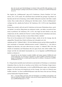dass ich ein paar gute Entscheidungen in meinem Leben getroffen habe und dass es sich lohnt Beziehungen zu pflegen und aufrecht zu erhalten. (Auszug aus LernPROZESSjournal  $19. S.17$ 

Das Angebot des "Gefühlsjournals" ging auf B. Fredricksons "Positive Portfolios" (B. Fredrickson, 2011, S.255) zurück. Die schreibende Person durchlebt den gestrigen Tag anhand von Episoden und ruft sich in Erinnerung, welche Gefühle während der einzelnen Aktivitäten verspürt wurden. Diese werden neben der Auflistung der Aktivitäten notiert. "Positive Gefühlsjournale" verfolgen das Ziel, "Quellen des Positiven" (B. Fredrickson, 2011, S.255) in den Tagesabläufen zu finden.

Werden diese ermittelt, stellt sich nach B. Fredrickson ein bewusstes Wahrnehmen dieser "positiven Quellen" ein und der Alltag könnte neu strukturiert werden, "um stärker von positiven Emotionen zu profitieren" (B. Fredrickson, 2011, S.255). Also fragte ich mich: Könnte es sein, dass Lehrpersonen, die ihre "Quellen des Positiven" in ihrem Alltag bewusst wahrnehmen und nutzen, über Ressourcen verfügen, die ihnen zu einem Glücks-Erleben verhelfen?

Wenn ich im Einvernehmen mit B. Fredrickson folgere, erlaube ich mir die Aussage, dass die aufgegriffene Thematik dieser Studie ein Beitrag zum Lehrerglück sein wird.

Außerdem gilt für T. Hülshoff (2006, S. 283) das Selbstbewusstsein und das Selbstwertgefühl als nicht voneinander zu Trennendes. Selbstbewusstsein versteht T. Hülshoff als "[...] die reflexive Fähigkeit des Menschen, sich seiner selbst bewusst zu werden." (T. Hülshoff, 2006, S.281) Das schließt ein Nachdenken und Wahrnehmen über die eigene Person, über erlebte Gefühle, Stimmungen und über die individuelle Emotionalität ein, wie im folgenden LernPROZESSjournal deutlich zu erkennen ist.

Generell hat mir das Seminar in punkto Gefühle und meiner eigenen Gefühlswelt noch einmal aufgezeigt, wie schwierig es eigentlich ist, eigene Gefühle zu benennen und zu erkennen beziehungsweise zu deuten geschweige denn zu erklären. (Auszug aus LernPRO- $ZESS$ journal 24, S.6)

K.-J. Kluge brachte innerhalb seiner konfrontativen und interaktiven Workshops zu verschiedenen Zeitpunkten Zitate ein, über die im Anschluss an das Gehörte in der Workshop- Gruppe intensiv diskutiert wurde und die Studierenden, wie die LernPROZESSjournale zeigten, zum Nachdenken anregten. Ein Zitat bezog sich beispielsweise auf die Aussage "Ein Lehrer im E-Bereich muss Gefühle verkaufen." In einem LernPROZESSjournal wurde über dieses Zitat und seine Wirkung auf den Studierenden Folgendes berichtet:

Die [...] Aussage führte mich dazu, über die Wichtigkeit von Gefühlen nachzudenken. Ich kann als Lehrer nur Gefühle verkaufen, wenn ich mir meinen eigenen bewusst bin. (Auszug aus LernPROZESSjournal 21, S.4f.)